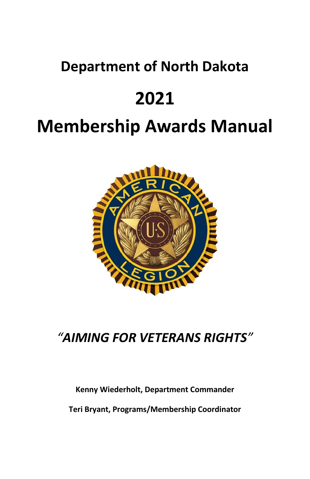# **Department of North Dakota**

# **2021**

# **Membership Awards Manual**



# *"AIMING FOR VETERANS RIGHTS"*

#### **Kenny Wiederholt, Department Commander**

**Teri Bryant, Programs/Membership Coordinator**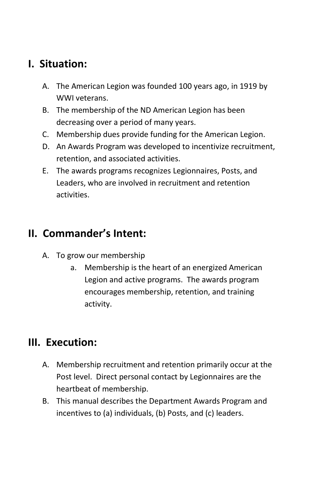## **I. Situation:**

- A. The American Legion was founded 100 years ago, in 1919 by WWI veterans.
- B. The membership of the ND American Legion has been decreasing over a period of many years.
- C. Membership dues provide funding for the American Legion.
- D. An Awards Program was developed to incentivize recruitment, retention, and associated activities.
- E. The awards programs recognizes Legionnaires, Posts, and Leaders, who are involved in recruitment and retention activities.

## **II. Commander's Intent:**

- A. To grow our membership
	- a. Membership is the heart of an energized American Legion and active programs. The awards program encourages membership, retention, and training activity.

## **III. Execution:**

- A. Membership recruitment and retention primarily occur at the Post level. Direct personal contact by Legionnaires are the heartbeat of membership.
- B. This manual describes the Department Awards Program and incentives to (a) individuals, (b) Posts, and (c) leaders.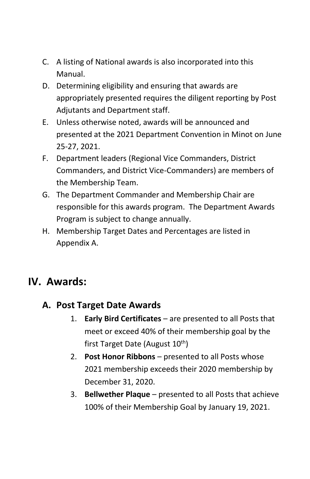- C. A listing of National awards is also incorporated into this Manual.
- D. Determining eligibility and ensuring that awards are appropriately presented requires the diligent reporting by Post Adjutants and Department staff.
- E. Unless otherwise noted, awards will be announced and presented at the 2021 Department Convention in Minot on June 25-27, 2021.
- F. Department leaders (Regional Vice Commanders, District Commanders, and District Vice-Commanders) are members of the Membership Team.
- G. The Department Commander and Membership Chair are responsible for this awards program. The Department Awards Program is subject to change annually.
- H. Membership Target Dates and Percentages are listed in Appendix A.

### **IV. Awards:**

#### **A. Post Target Date Awards**

- 1. **Early Bird Certificates** are presented to all Posts that meet or exceed 40% of their membership goal by the first Target Date (August 10<sup>th</sup>)
- 2. **Post Honor Ribbons** presented to all Posts whose 2021 membership exceeds their 2020 membership by December 31, 2020.
- 3. **Bellwether Plaque** presented to all Posts that achieve 100% of their Membership Goal by January 19, 2021.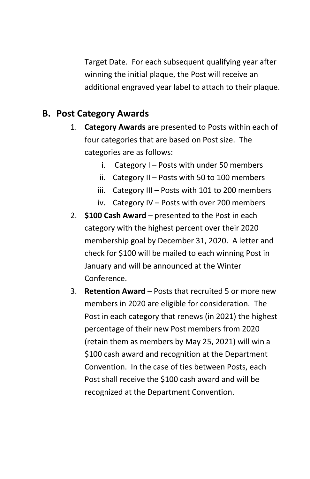Target Date. For each subsequent qualifying year after winning the initial plaque, the Post will receive an additional engraved year label to attach to their plaque.

#### **B. Post Category Awards**

- 1. **Category Awards** are presented to Posts within each of four categories that are based on Post size. The categories are as follows:
	- i. Category  $I -$  Posts with under 50 members
	- ii. Category II Posts with 50 to 100 members
	- iii. Category III Posts with 101 to 200 members
	- iv. Category IV Posts with over 200 members
- 2. **\$100 Cash Award** presented to the Post in each category with the highest percent over their 2020 membership goal by December 31, 2020. A letter and check for \$100 will be mailed to each winning Post in January and will be announced at the Winter Conference.
- 3. **Retention Award** Posts that recruited 5 or more new members in 2020 are eligible for consideration. The Post in each category that renews (in 2021) the highest percentage of their new Post members from 2020 (retain them as members by May 25, 2021) will win a \$100 cash award and recognition at the Department Convention. In the case of ties between Posts, each Post shall receive the \$100 cash award and will be recognized at the Department Convention.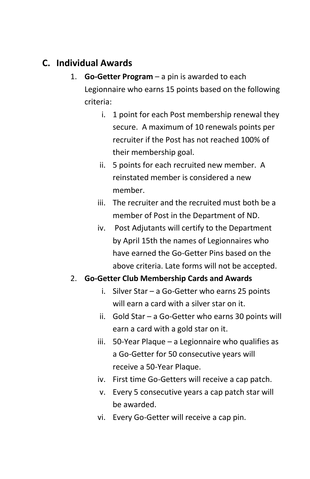### **C. Individual Awards**

- 1. **Go-Getter Program** a pin is awarded to each Legionnaire who earns 15 points based on the following criteria:
	- i. 1 point for each Post membership renewal they secure. A maximum of 10 renewals points per recruiter if the Post has not reached 100% of their membership goal.
	- ii. 5 points for each recruited new member. A reinstated member is considered a new member.
	- iii. The recruiter and the recruited must both be a member of Post in the Department of ND.
	- iv. Post Adjutants will certify to the Department by April 15th the names of Legionnaires who have earned the Go-Getter Pins based on the above criteria. Late forms will not be accepted.

#### 2. **Go-Getter Club Membership Cards and Awards**

- i. Silver Star a Go-Getter who earns 25 points will earn a card with a silver star on it.
- ii. Gold Star a Go-Getter who earns 30 points will earn a card with a gold star on it.
- iii. 50-Year Plaque a Legionnaire who qualifies as a Go-Getter for 50 consecutive years will receive a 50-Year Plaque.
- iv. First time Go-Getters will receive a cap patch.
- v. Every 5 consecutive years a cap patch star will be awarded.
- vi. Every Go-Getter will receive a cap pin.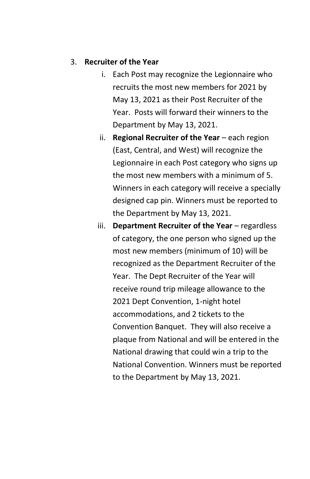#### 3. **Recruiter of the Year**

- i. Each Post may recognize the Legionnaire who recruits the most new members for 2021 by May 13, 2021 as their Post Recruiter of the Year. Posts will forward their winners to the Department by May 13, 2021.
- ii. **Regional Recruiter of the Year** each region (East, Central, and West) will recognize the Legionnaire in each Post category who signs up the most new members with a minimum of 5. Winners in each category will receive a specially designed cap pin. Winners must be reported to the Department by May 13, 2021.
- iii. **Department Recruiter of the Year** regardless of category, the one person who signed up the most new members (minimum of 10) will be recognized as the Department Recruiter of the Year. The Dept Recruiter of the Year will receive round trip mileage allowance to the 2021 Dept Convention, 1-night hotel accommodations, and 2 tickets to the Convention Banquet. They will also receive a plaque from National and will be entered in the National drawing that could win a trip to the National Convention. Winners must be reported to the Department by May 13, 2021.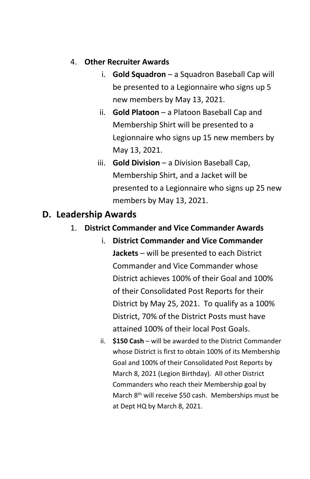#### 4. **Other Recruiter Awards**

- i. **Gold Squadron** a Squadron Baseball Cap will be presented to a Legionnaire who signs up 5 new members by May 13, 2021.
- ii. **Gold Platoon** a Platoon Baseball Cap and Membership Shirt will be presented to a Legionnaire who signs up 15 new members by May 13, 2021.
- iii. **Gold Division** a Division Baseball Cap, Membership Shirt, and a Jacket will be presented to a Legionnaire who signs up 25 new members by May 13, 2021.

#### **D. Leadership Awards**

#### 1. **District Commander and Vice Commander Awards**

- i. **District Commander and Vice Commander Jackets** – will be presented to each District Commander and Vice Commander whose District achieves 100% of their Goal and 100% of their Consolidated Post Reports for their District by May 25, 2021. To qualify as a 100% District, 70% of the District Posts must have attained 100% of their local Post Goals.
- ii. **\$150 Cash** will be awarded to the District Commander whose District is first to obtain 100% of its Membership Goal and 100% of their Consolidated Post Reports by March 8, 2021 (Legion Birthday). All other District Commanders who reach their Membership goal by March 8<sup>th</sup> will receive \$50 cash. Memberships must be at Dept HQ by March 8, 2021.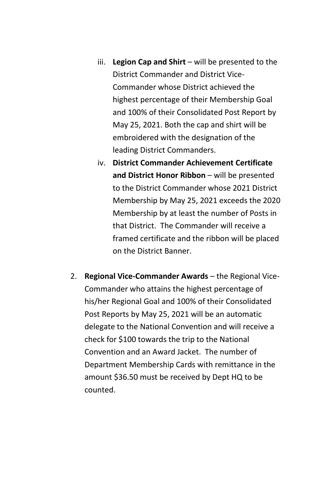- iii. **Legion Cap and Shirt** will be presented to the District Commander and District Vice-Commander whose District achieved the highest percentage of their Membership Goal and 100% of their Consolidated Post Report by May 25, 2021. Both the cap and shirt will be embroidered with the designation of the leading District Commanders.
- iv. **District Commander Achievement Certificate and District Honor Ribbon** – will be presented to the District Commander whose 2021 District Membership by May 25, 2021 exceeds the 2020 Membership by at least the number of Posts in that District. The Commander will receive a framed certificate and the ribbon will be placed on the District Banner.
- 2. **Regional Vice-Commander Awards** the Regional Vice-Commander who attains the highest percentage of his/her Regional Goal and 100% of their Consolidated Post Reports by May 25, 2021 will be an automatic delegate to the National Convention and will receive a check for \$100 towards the trip to the National Convention and an Award Jacket. The number of Department Membership Cards with remittance in the amount \$36.50 must be received by Dept HQ to be counted.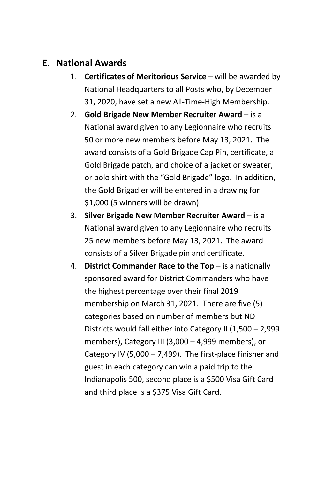#### **E. National Awards**

- 1. **Certificates of Meritorious Service** will be awarded by National Headquarters to all Posts who, by December 31, 2020, have set a new All-Time-High Membership.
- 2. **Gold Brigade New Member Recruiter Award** is a National award given to any Legionnaire who recruits 50 or more new members before May 13, 2021. The award consists of a Gold Brigade Cap Pin, certificate, a Gold Brigade patch, and choice of a jacket or sweater, or polo shirt with the "Gold Brigade" logo. In addition, the Gold Brigadier will be entered in a drawing for \$1,000 (5 winners will be drawn).
- 3. **Silver Brigade New Member Recruiter Award**  is a National award given to any Legionnaire who recruits 25 new members before May 13, 2021. The award consists of a Silver Brigade pin and certificate.
- 4. **District Commander Race to the Top** is a nationally sponsored award for District Commanders who have the highest percentage over their final 2019 membership on March 31, 2021. There are five (5) categories based on number of members but ND Districts would fall either into Category II (1,500 – 2,999 members), Category III (3,000 – 4,999 members), or Category IV (5,000 – 7,499). The first-place finisher and guest in each category can win a paid trip to the Indianapolis 500, second place is a \$500 Visa Gift Card and third place is a \$375 Visa Gift Card.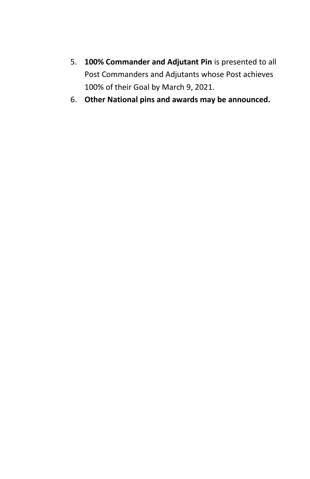- 5. **100% Commander and Adjutant Pin** is presented to all Post Commanders and Adjutants whose Post achieves 100% of their Goal by March 9, 2021.
- 6. **Other National pins and awards may be announced.**